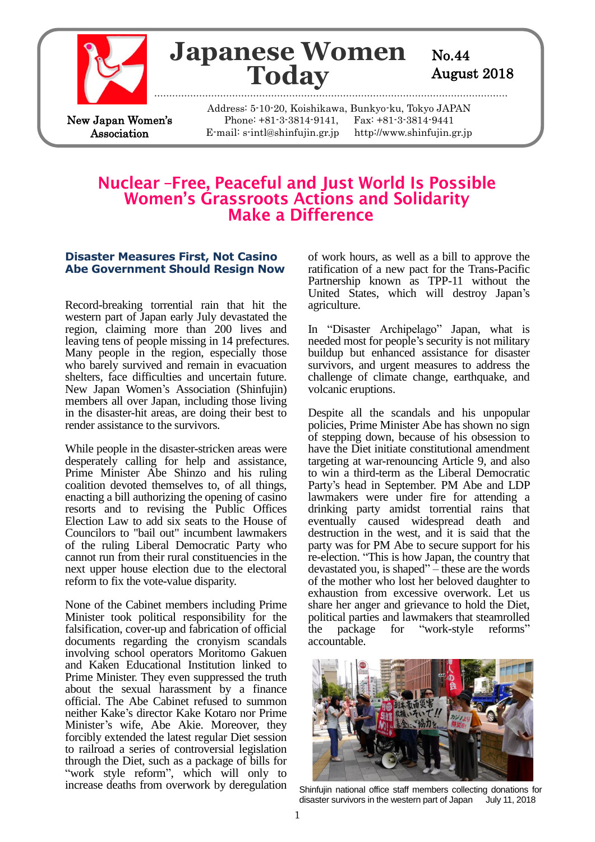

# **Japanese Women** No.44 **Today** August 2018

New Japan Women's Association

Address: 5-10-20, Koishikawa, Bunkyo-ku, Tokyo JAPAN Phone: +81-3-3814-9141, Fax: +81-3-3814-9441 E-mail: s-intl@shinfujin.gr.jp http://www.shinfujin.gr.jp

# Nuclear-Free, Peaceful and Just World Is Possible **Women's Grassroots Actions and Solidarity** Make a Difference

#### **Disaster Measures First, Not Casino Abe Government Should Resign Now**

Record-breaking torrential rain that hit the western part of Japan early July devastated the region, claiming more than 200 lives and leaving tens of people missing in 14 prefectures. Many people in the region, especially those who barely survived and remain in evacuation shelters, face difficulties and uncertain future. New Japan Women's Association (Shinfujin) members all over Japan, including those living in the disaster-hit areas, are doing their best to render assistance to the survivors.

While people in the disaster-stricken areas were desperately calling for help and assistance, Prime Minister Abe Shinzo and his ruling coalition devoted themselves to, of all things, enacting a bill authorizing the opening of casino resorts and to revising the Public Offices Election Law to add six seats to the House of Councilors to "bail out" incumbent lawmakers of the ruling Liberal Democratic Party who cannot run from their rural constituencies in the next upper house election due to the electoral reform to fix the vote-value disparity.

None of the Cabinet members including Prime Minister took political responsibility for the falsification, cover-up and fabrication of official documents regarding the cronyism scandals involving school operators Moritomo Gakuen and Kaken Educational Institution linked to Prime Minister. They even suppressed the truth about the sexual harassment by a finance official. The Abe Cabinet refused to summon neither Kake's director Kake Kotaro nor Prime Minister's wife, Abe Akie. Moreover, they forcibly extended the latest regular Diet session to railroad a series of controversial legislation through the Diet, such as a package of bills for "work style reform", which will only to increase deaths from overwork by deregulation of work hours, as well as a bill to approve the ratification of a new pact for the Trans-Pacific Partnership known as TPP-11 without the United States, which will destroy Japan's agriculture.

In "Disaster Archipelago" Japan, what is needed most for people's security is not military buildup but enhanced assistance for disaster survivors, and urgent measures to address the challenge of climate change, earthquake, and volcanic eruptions.

Despite all the scandals and his unpopular policies, Prime Minister Abe has shown no sign of stepping down, because of his obsession to have the Diet initiate constitutional amendment targeting at war-renouncing Article 9, and also to win a third-term as the Liberal Democratic Party's head in September. PM Abe and LDP lawmakers were under fire for attending a drinking party amidst torrential rains that eventually caused widespread death and destruction in the west, and it is said that the party was for PM Abe to secure support for his re-election. "This is how Japan, the country that devastated you, is shaped" – these are the words of the mother who lost her beloved daughter to exhaustion from excessive overwork. Let us share her anger and grievance to hold the Diet, political parties and lawmakers that steamrolled the package for "work-style reforms" accountable.



Shinfujin national office staff members collecting donations for disaster survivors in the western part of Japan July 11, 2018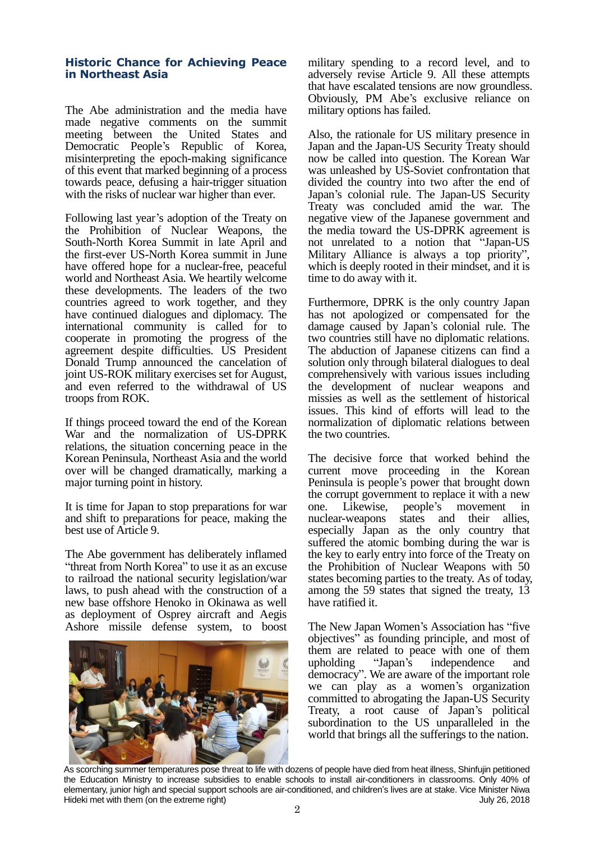#### **Historic Chance for Achieving Peace in Northeast Asia**

The Abe administration and the media have made negative comments on the summit meeting between the United States and Democratic People's Republic of Korea, misinterpreting the epoch-making significance of this event that marked beginning of a process towards peace, defusing a hair-trigger situation with the risks of nuclear war higher than ever.

Following last year's adoption of the Treaty on the Prohibition of Nuclear Weapons, the South-North Korea Summit in late April and the first-ever US-North Korea summit in June have offered hope for a nuclear-free, peaceful world and Northeast Asia. We heartily welcome these developments. The leaders of the two countries agreed to work together, and they have continued dialogues and diplomacy. The international community is called for to cooperate in promoting the progress of the agreement despite difficulties. US President Donald Trump announced the cancelation of joint US-ROK military exercises set for August, and even referred to the withdrawal of US troops from ROK.

If things proceed toward the end of the Korean War and the normalization of US-DPRK relations, the situation concerning peace in the Korean Peninsula, Northeast Asia and the world over will be changed dramatically, marking a major turning point in history.

It is time for Japan to stop preparations for war and shift to preparations for peace, making the best use of Article 9.

The Abe government has deliberately inflamed "threat from North Korea" to use it as an excuse to railroad the national security legislation/war laws, to push ahead with the construction of a new base offshore Henoko in Okinawa as well as deployment of Osprey aircraft and Aegis Ashore missile defense system, to boost



military spending to a record level, and to adversely revise Article 9. All these attempts that have escalated tensions are now groundless. Obviously, PM Abe's exclusive reliance on military options has failed.

Also, the rationale for US military presence in Japan and the Japan-US Security Treaty should now be called into question. The Korean War was unleashed by US-Soviet confrontation that divided the country into two after the end of Japan's colonial rule. The Japan-US Security Treaty was concluded amid the war. The negative view of the Japanese government and the media toward the US-DPRK agreement is not unrelated to a notion that "Japan-US Military Alliance is always a top priority", which is deeply rooted in their mindset, and it is time to do away with it.

Furthermore, DPRK is the only country Japan has not apologized or compensated for the damage caused by Japan's colonial rule. The two countries still have no diplomatic relations. The abduction of Japanese citizens can find a solution only through bilateral dialogues to deal comprehensively with various issues including the development of nuclear weapons and missies as well as the settlement of historical issues. This kind of efforts will lead to the normalization of diplomatic relations between the two countries.

The decisive force that worked behind the current move proceeding in the Korean Peninsula is people's power that brought down the corrupt government to replace it with a new one. Likewise, people's movement in nuclear-weapons states and their allies, especially Japan as the only country that suffered the atomic bombing during the war is the key to early entry into force of the Treaty on the Prohibition of Nuclear Weapons with 50 states becoming parties to the treaty. As of today, among the 59 states that signed the treaty, 13 have ratified it.

The New Japan Women's Association has "five objectives" as founding principle, and most of them are related to peace with one of them upholding "Japan's independence and democracy". We are aware of the important role we can play as a women's organization committed to abrogating the Japan-US Security Treaty, a root cause of Japan's political subordination to the US unparalleled in the world that brings all the sufferings to the nation.

As scorching summer temperatures pose threat to life with dozens of people have died from heat illness, Shinfujin petitioned the Education Ministry to increase subsidies to enable schools to install air-conditioners in classrooms. Only 40% of elementary, junior high and special support schools are air-conditioned, and children's lives are at stake. Vice Minister Niwa Hideki met with them (on the extreme right) Theorem and the state of the state of the state of the state of the state of the state of the state of the state of the state of the state of the state of the state of the state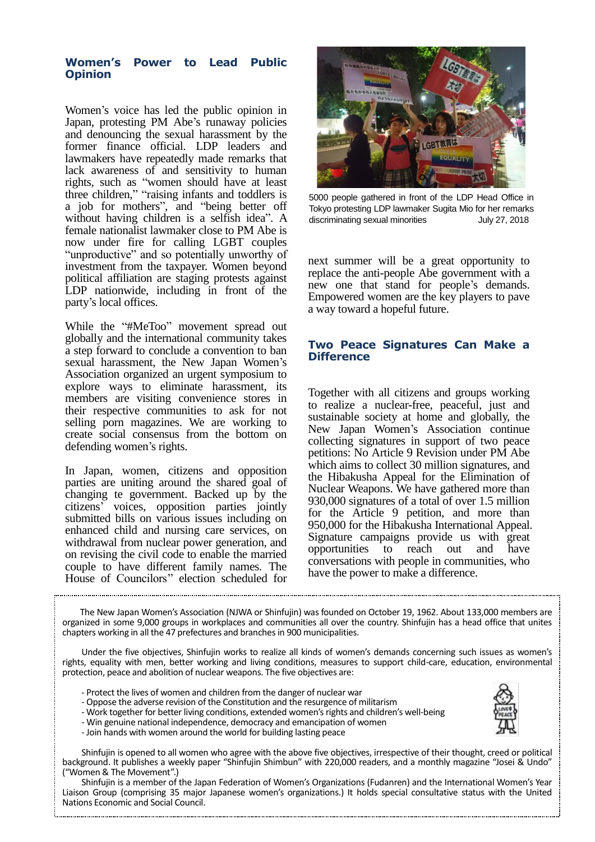#### **Women's Power to Lead Public Opinion**

Women's voice has led the public opinion in Japan, protesting PM Abe's runaway policies and denouncing the sexual harassment by the former finance official. LDP leaders and lawmakers have repeatedly made remarks that lack awareness of and sensitivity to human rights, such as "women should have at least three children," "raising infants and toddlers is a job for mothers", and "being better off without having children is a selfish idea". A female nationalist lawmaker close to PM Abe is now under fire for calling LGBT couples "unproductive" and so potentially unworthy of investment from the taxpayer. Women beyond political affiliation are staging protests against LDP nationwide, including in front of the party's local offices.

While the "#MeToo" movement spread out globally and the international community takes a step forward to conclude a convention to ban sexual harassment, the New Japan Women's Association organized an urgent symposium to explore ways to eliminate harassment, its members are visiting convenience stores in their respective communities to ask for not selling porn magazines. We are working to create social consensus from the bottom on defending women's rights.

In Japan, women, citizens and opposition parties are uniting around the shared goal of changing te government. Backed up by the citizens' voices, opposition parties jointly submitted bills on various issues including on enhanced child and nursing care services, on withdrawal from nuclear power generation, and on revising the civil code to enable the married couple to have different family names. The House of Councilors'' election scheduled for



5000 people gathered in front of the LDP Head Office in Tokyo protesting LDP lawmaker Sugita Mio for her remarks discriminating sexual minorities July 27, 2018

next summer will be a great opportunity to replace the anti-people Abe government with a new one that stand for people's demands. Empowered women are the key players to pave a way toward a hopeful future.

## **Two Peace Signatures Can Make a Difference**

Together with all citizens and groups working to realize a nuclear-free, peaceful, just and sustainable society at home and globally, the New Japan Women's Association continue collecting signatures in support of two peace petitions: No Article 9 Revision under PM Abe which aims to collect 30 million signatures, and the Hibakusha Appeal for the Elimination of Nuclear Weapons. We have gathered more than 930,000 signatures of a total of over 1.5 million for the Article 9 petition, and more than 950,000 for the Hibakusha International Appeal. Signature campaigns provide us with great opportunities to reach out and have conversations with people in communities, who have the power to make a difference.

 The New Japan Women's Association (NJWA or Shinfujin) was founded on October 19, 1962. About 133,000 members are organized in some 9,000 groups in workplaces and communities all over the country. Shinfujin has a head office that unites chapters working in all the 47 prefectures and branches in 900 municipalities.

 Under the five objectives, Shinfujin works to realize all kinds of women's demands concerning such issues as women's rights, equality with men, better working and living conditions, measures to support child-care, education, environmental protection, peace and abolition of nuclear weapons. The five objectives are:

- Protect the lives of women and children from the danger of nuclear war
- Oppose the adverse revision of the Constitution and the resurgence of militarism
- Work together for better living conditions, extended women's rights and children's well-being
- Win genuine national independence, democracy and emancipation of women - Join hands with women around the world for building lasting peace

 Shinfujin is opened to all women who agree with the above five objectives, irrespective of their thought, creed or political background. It publishes a weekly paper "Shinfujin Shimbun" with 220,000 readers, and a monthly magazine "Josei & Undo" ("Women & The Movement".)

 Shinfujin is a member of the Japan Federation of Women's Organizations (Fudanren) and the International Women's Year Liaison Group (comprising 35 major Japanese women's organizations.) It holds special consultative status with the United Nations Economic and Social Council.